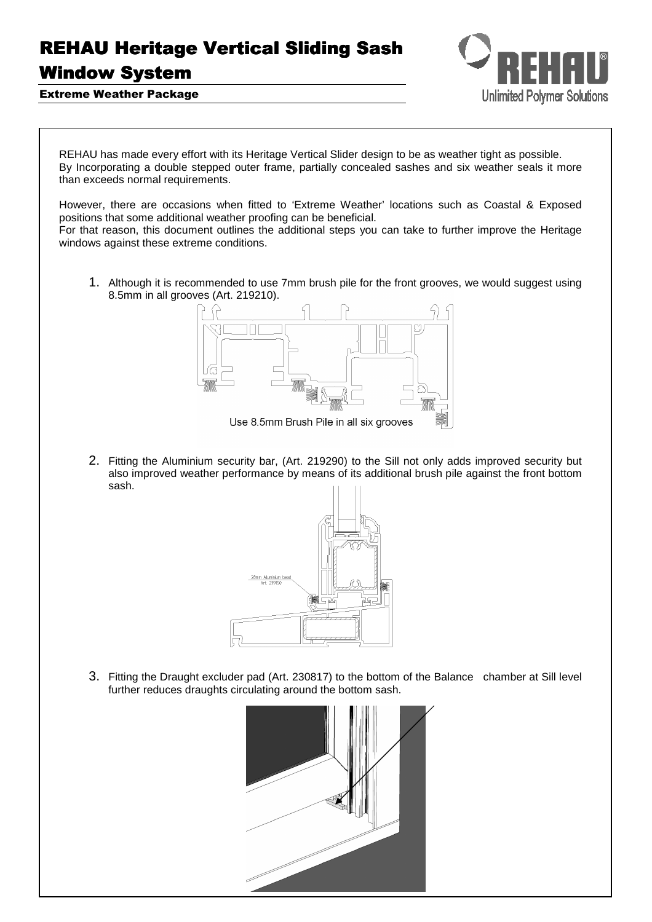## **REHAU Heritage Vertical Sliding Sash**

## Window System



Extreme Weather Package

REHAU has made every effort with its Heritage Vertical Slider design to be as weather tight as possible. By Incorporating a double stepped outer frame, partially concealed sashes and six weather seals it more than exceeds normal requirements.

However, there are occasions when fitted to 'Extreme Weather' locations such as Coastal & Exposed positions that some additional weather proofing can be beneficial.

For that reason, this document outlines the additional steps you can take to further improve the Heritage windows against these extreme conditions.

1. Although it is recommended to use 7mm brush pile for the front grooves, we would suggest using 8.5mm in all grooves (Art. 219210).



2. Fitting the Aluminium security bar, (Art. 219290) to the Sill not only adds improved security but also improved weather performance by means of its additional brush pile against the front bottom sash.



3. Fitting the Draught excluder pad (Art. 230817) to the bottom of the Balance chamber at Sill level further reduces draughts circulating around the bottom sash.